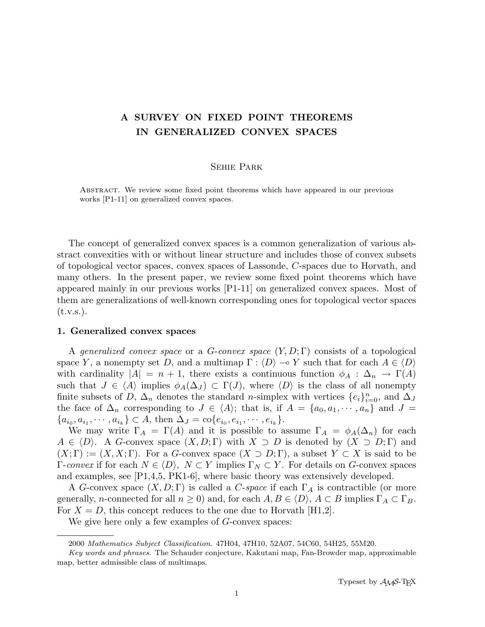# A SURVEY ON FIXED POINT THEOREMS IN GENERALIZED CONVEX SPACES

## Sehie Park

Abstract. We review some fixed point theorems which have appeared in our previous works [P1-11] on generalized convex spaces.

The concept of generalized convex spaces is a common generalization of various abstract convexities with or without linear structure and includes those of convex subsets of topological vector spaces, convex spaces of Lassonde, C-spaces due to Horvath, and many others. In the present paper, we review some fixed point theorems which have appeared mainly in our previous works [P1-11] on generalized convex spaces. Most of them are generalizations of well-known corresponding ones for topological vector spaces  $(t.v.s.).$ 

## 1. Generalized convex spaces

A generalized convex space or a  $G$ -convex space  $(Y, D; \Gamma)$  consists of a topological space Y, a nonempty set D, and a multimap  $\Gamma : \langle D \rangle \to Y$  such that for each  $A \in \langle D \rangle$ with cardinality  $|A| = n + 1$ , there exists a continuous function  $\phi_A : \Delta_n \to \Gamma(A)$ such that  $J \in \langle A \rangle$  implies  $\phi_A(\Delta_J) \subset \Gamma(J)$ , where  $\langle D \rangle$  is the class of all nonempty finite subsets of D,  $\Delta_n$  denotes the standard n-simplex with vertices  $\{e_i\}_{i=0}^n$ , and  $\Delta_j$ the face of  $\Delta_n$  corresponding to  $J \in \langle A \rangle$ ; that is, if  $A = \{a_0, a_1, \dots, a_n\}$  and  $J =$  ${a_{i_0}, a_{i_1}, \cdots, a_{i_k}} \subset A$ , then  $\Delta_J = \text{co}\{e_{i_0}, e_{i_1}, \cdots, e_{i_k}\}.$ 

We may write  $\Gamma_A = \Gamma(A)$  and it is possible to assume  $\Gamma_A = \phi_A(\Delta_n)$  for each  $A \in \langle D \rangle$ . A G-convex space  $(X, D; \Gamma)$  with  $X \supset D$  is denoted by  $(X \supset D; \Gamma)$  and  $(X; \Gamma) := (X, X; \Gamma)$ . For a G-convex space  $(X \supset D; \Gamma)$ , a subset  $Y \subset X$  is said to be Γ-convex if for each  $N \in \langle D \rangle$ ,  $N \subset Y$  implies  $\Gamma_N \subset Y$ . For details on G-convex spaces and examples, see [P1,4,5, PK1-6], where basic theory was extensively developed.

A G-convex space  $(X, D; \Gamma)$  is called a C-space if each  $\Gamma_A$  is contractible (or more generally, *n*-connected for all  $n \geq 0$ ) and, for each  $A, B \in \langle D \rangle$ ,  $A \subset B$  implies  $\Gamma_A \subset \Gamma_B$ . For  $X = D$ , this concept reduces to the one due to Horvath [H1,2].

We give here only a few examples of *G*-convex spaces:

<sup>2000</sup> Mathematics Subject Classification. 47H04, 47H10, 52A07, 54C60, 54H25, 55M20.

Key words and phrases. The Schauder conjecture, Kakutani map, Fan-Browder map, approximable map, better admissible class of multimaps.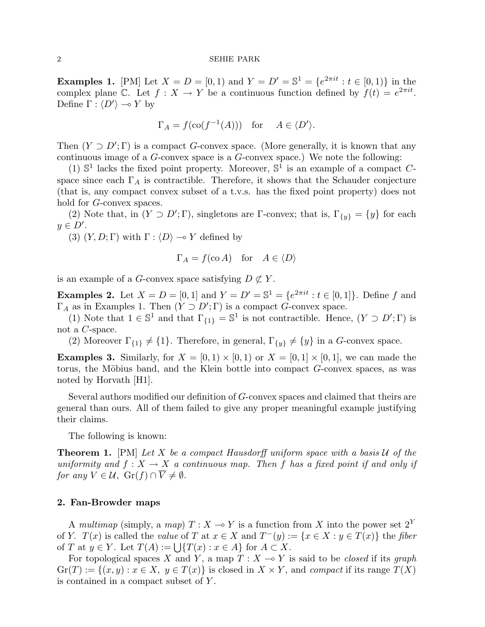**Examples 1.** [PM] Let  $X = D = [0, 1)$  and  $Y = D' = \mathbb{S}^1 = \{e^{2\pi i t} : t \in [0, 1)\}\$ in the complex plane C. Let  $f: X \to Y$  be a continuous function defined by  $f(t) = e^{2\pi i t}$ . Define  $\Gamma : \langle D' \rangle \longrightarrow Y$  by

$$
\Gamma_A = f(\text{co}(f^{-1}(A))) \text{ for } A \in \langle D' \rangle.
$$

Then  $(Y \supset D'; \Gamma)$  is a compact G-convex space. (More generally, it is known that any continuous image of a G-convex space is a G-convex space.) We note the following:

(1)  $\mathbb{S}^1$  lacks the fixed point property. Moreover,  $\mathbb{S}^1$  is an example of a compact Cspace since each  $\Gamma_A$  is contractible. Therefore, it shows that the Schauder conjecture (that is, any compact convex subset of a t.v.s. has the fixed point property) does not hold for *G*-convex spaces.

(2) Note that, in  $(Y \supset D'; \Gamma)$ , singletons are  $\Gamma$ -convex; that is,  $\Gamma_{\{y\}} = \{y\}$  for each  $y \in D'.$ 

(3)  $(Y, D; \Gamma)$  with  $\Gamma : \langle D \rangle \longrightarrow Y$  defined by

$$
\Gamma_A = f(\text{co }A) \quad \text{for} \quad A \in \langle D \rangle
$$

is an example of a G-convex space satisfying  $D \not\subset Y$ .

**Examples 2.** Let  $X = D = [0, 1]$  and  $Y = D' = \mathbb{S}^1 = \{e^{2\pi i t} : t \in [0, 1]\}\.$  Define f and  $\Gamma_A$  as in Examples 1. Then  $(Y \supset D'; \Gamma)$  is a compact G-convex space.

(1) Note that  $1 \in \mathbb{S}^1$  and that  $\Gamma_{\{1\}} = \mathbb{S}^1$  is not contractible. Hence,  $(Y \supset D';\Gamma)$  is not a C-space.

(2) Moreover  $\Gamma_{\{1\}} \neq \{1\}$ . Therefore, in general,  $\Gamma_{\{y\}} \neq \{y\}$  in a G-convex space.

**Examples 3.** Similarly, for  $X = [0, 1) \times [0, 1]$  or  $X = [0, 1] \times [0, 1]$ , we can made the torus, the Möbius band, and the Klein bottle into compact  $G$ -convex spaces, as was noted by Horvath [H1].

Several authors modified our definition of G-convex spaces and claimed that theirs are general than ours. All of them failed to give any proper meaningful example justifying their claims.

The following is known:

**Theorem 1.** [PM] Let X be a compact Hausdorff uniform space with a basis  $U$  of the uniformity and  $f: X \to X$  a continuous map. Then f has a fixed point if and only if for any  $V \in \mathcal{U}$ ,  $\operatorname{Gr}(f) \cap \overline{V} \neq \emptyset$ .

# 2. Fan-Browder maps

A multimap (simply, a map)  $T : X \longrightarrow Y$  is a function from X into the power set  $2^Y$ of Y.  $T(x)$  is called the value of T at  $x \in X$  and  $T^-(y) := \{x \in X : y \in T(x)\}\)$  the fiber of T at  $y \in Y$ . Let  $T(A) := \bigcup \{T(x) : x \in A\}$  for  $A \subset X$ .

For topological spaces X and Y, a map  $T : X \rightarrow Y$  is said to be closed if its graph  $\mathrm{Gr}(T) := \{(x, y) : x \in X, y \in T(x)\}\$ is closed in  $X \times Y$ , and compact if its range  $T(X)$ is contained in a compact subset of Y .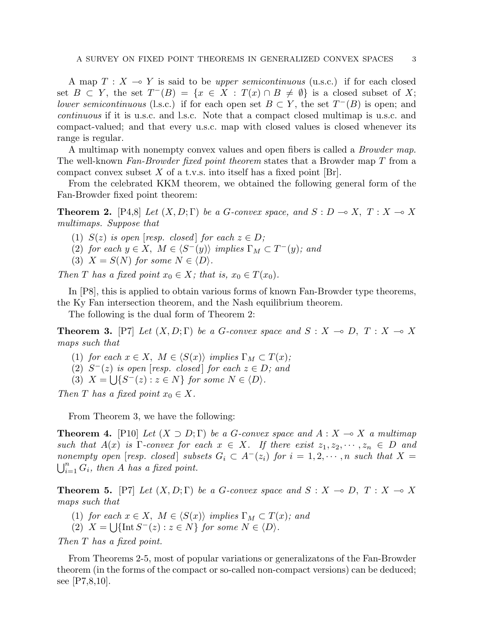A map  $T : X \rightarrow Y$  is said to be *upper semicontinuous* (u.s.c.) if for each closed set  $B \subset Y$ , the set  $T^{-}(B) = \{x \in X : T(x) \cap B \neq \emptyset\}$  is a closed subset of X; lower semicontinuous (l.s.c.) if for each open set  $B \subset Y$ , the set  $T^{-}(B)$  is open; and continuous if it is u.s.c. and l.s.c. Note that a compact closed multimap is u.s.c. and compact-valued; and that every u.s.c. map with closed values is closed whenever its range is regular.

A multimap with nonempty convex values and open fibers is called a Browder map. The well-known Fan-Browder fixed point theorem states that a Browder map T from a compact convex subset X of a t.v.s. into itself has a fixed point  $[Br]$ .

From the celebrated KKM theorem, we obtained the following general form of the Fan-Browder fixed point theorem:

**Theorem 2.** [P4,8] Let  $(X, D; \Gamma)$  be a G-convex space, and  $S: D \to X$ ,  $T: X \to X$ multimaps. Suppose that

(1)  $S(z)$  is open [resp. closed] for each  $z \in D$ ;

- (2) for each  $y \in X$ ,  $M \in \langle S^-(y) \rangle$  implies  $\Gamma_M \subset T^-(y)$ ; and
- (3)  $X = S(N)$  for some  $N \in \langle D \rangle$ .

Then T has a fixed point  $x_0 \in X$ ; that is,  $x_0 \in T(x_0)$ .

In [P8], this is applied to obtain various forms of known Fan-Browder type theorems, the Ky Fan intersection theorem, and the Nash equilibrium theorem.

The following is the dual form of Theorem 2:

**Theorem 3.** [P7] Let  $(X, D; \Gamma)$  be a G-convex space and  $S : X \to D, T : X \to X$ maps such that

- (1) for each  $x \in X$ ,  $M \in \langle S(x) \rangle$  implies  $\Gamma_M \subset T(x)$ ;
- (2)  $S^{-}(z)$  is open [resp. closed] for each  $z \in D$ ; and
- (3)  $X = \bigcup \{ S^-(z) : z \in N \}$  for some  $N \in \langle D \rangle$ .

Then T has a fixed point  $x_0 \in X$ .

From Theorem 3, we have the following:

**Theorem 4.** [P10] Let  $(X \supset D; \Gamma)$  be a G-convex space and  $A: X \to X$  a multimap such that  $A(x)$  is  $\Gamma$ -convex for each  $x \in X$ . If there exist  $z_1, z_2, \dots, z_n \in D$  and nonempty open [resp. closed] subsets  $G_i \subset A^-(z_i)$  for  $i = 1, 2, \cdots, n$  such that  $X =$  $\sum_{i=1}^n G_i$ , then A has a fixed point.

**Theorem 5.** [P7] Let  $(X, D; \Gamma)$  be a G-convex space and  $S : X \to D, T : X \to X$ maps such that

- (1) for each  $x \in X$ ,  $M \in \langle S(x) \rangle$  implies  $\Gamma_M \subset T(x)$ ; and
- (2)  $X = \bigcup \{ \text{Int } S^{-}(z) : z \in N \}$  for some  $N \in \langle D \rangle$ .

Then T has a fixed point.

From Theorems 2-5, most of popular variations or generalizatons of the Fan-Browder theorem (in the forms of the compact or so-called non-compact versions) can be deduced; see [P7,8,10].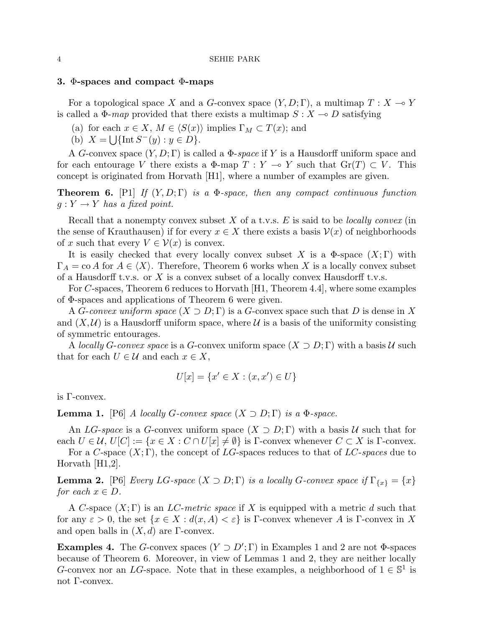## 3. Φ-spaces and compact Φ-maps

For a topological space X and a G-convex space  $(Y, D; \Gamma)$ , a multimap  $T : X \to Y$ is called a  $\Phi$ -map provided that there exists a multimap  $S : X \to D$  satisfying

(a) for each  $x \in X$ ,  $M \in \langle S(x) \rangle$  implies  $\Gamma_M \subset T(x)$ ; and

(b)  $X = \bigcup \{ \text{Int } S^-(y) : y \in D \}.$ 

A G-convex space  $(Y, D; \Gamma)$  is called a  $\Phi$ -space if Y is a Hausdorff uniform space and for each entourage V there exists a  $\Phi$ -map  $T : Y \multimap Y$  such that  $Gr(T) \subset V$ . This concept is originated from Horvath [H1], where a number of examples are given.

**Theorem 6.** [P1] If  $(Y, D; \Gamma)$  is a  $\Phi$ -space, then any compact continuous function  $g: Y \to Y$  has a fixed point.

Recall that a nonempty convex subset X of a t.v.s.  $E$  is said to be *locally convex* (in the sense of Krauthausen) if for every  $x \in X$  there exists a basis  $\mathcal{V}(x)$  of neighborhoods of x such that every  $V \in \mathcal{V}(x)$  is convex.

It is easily checked that every locally convex subset X is a  $\Phi$ -space  $(X; \Gamma)$  with  $\Gamma_A = \text{co }A$  for  $A \in \langle X \rangle$ . Therefore, Theorem 6 works when X is a locally convex subset of a Hausdorff t.v.s. or  $X$  is a convex subset of a locally convex Hausdorff t.v.s.

For C-spaces, Theorem 6 reduces to Horvath [H1, Theorem 4.4], where some examples of Φ-spaces and applications of Theorem 6 were given.

A G-convex uniform space  $(X \supset D; \Gamma)$  is a G-convex space such that D is dense in X and  $(X, \mathcal{U})$  is a Hausdorff uniform space, where  $\mathcal{U}$  is a basis of the uniformity consisting of symmetric entourages.

A locally G-convex space is a G-convex uniform space  $(X \supset D; \Gamma)$  with a basis U such that for each  $U \in \mathcal{U}$  and each  $x \in X$ ,

$$
U[x] = \{x' \in X : (x, x') \in U\}
$$

is Γ-convex.

**Lemma 1.** [P6] A locally G-convex space  $(X \supset D; \Gamma)$  is a  $\Phi$ -space.

An LG-space is a G-convex uniform space  $(X \supset D; \Gamma)$  with a basis U such that for each  $U \in \mathcal{U}, U[C] := \{x \in X : C \cap U[x] \neq \emptyset\}$  is  $\Gamma$ -convex whenever  $C \subset X$  is  $\Gamma$ -convex.

For a C-space  $(X; \Gamma)$ , the concept of LG-spaces reduces to that of LC-spaces due to Horvath [H1,2].

**Lemma 2.** [P6] Every LG-space  $(X \supset D; \Gamma)$  is a locally G-convex space if  $\Gamma_{\{x\}} = \{x\}$ for each  $x \in D$ .

A C-space  $(X; \Gamma)$  is an LC-metric space if X is equipped with a metric d such that for any  $\varepsilon > 0$ , the set  $\{x \in X : d(x, A) < \varepsilon\}$  is Γ-convex whenever A is Γ-convex in X and open balls in  $(X, d)$  are Γ-convex.

**Examples 4.** The G-convex spaces  $(Y \supset D'; \Gamma)$  in Examples 1 and 2 are not  $\Phi$ -spaces because of Theorem 6. Moreover, in view of Lemmas 1 and 2, they are neither locally G-convex nor an LG-space. Note that in these examples, a neighborhood of  $1 \in \mathbb{S}^1$  is not Γ-convex.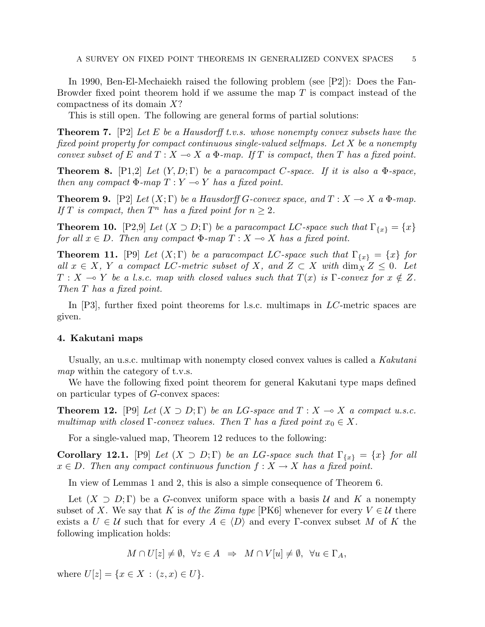In 1990, Ben-El-Mechaiekh raised the following problem (see [P2]): Does the Fan-Browder fixed point theorem hold if we assume the map  $T$  is compact instead of the compactness of its domain X?

This is still open. The following are general forms of partial solutions:

**Theorem 7.** [P2] Let E be a Hausdorff t.v.s. whose nonempty convex subsets have the fixed point property for compact continuous single-valued selfmaps. Let X be a nonempty convex subset of E and  $T : X \longrightarrow X$  a  $\Phi$ -map. If T is compact, then T has a fixed point.

**Theorem 8.** [P1,2] Let  $(Y, D; \Gamma)$  be a paracompact C-space. If it is also a  $\Phi$ -space, then any compact  $\Phi$ -map  $T : Y \multimap Y$  has a fixed point.

**Theorem 9.** [P2] Let  $(X;\Gamma)$  be a Hausdorff G-convex space, and  $T : X \longrightarrow X$  a  $\Phi$ -map. If T is compact, then  $T^n$  has a fixed point for  $n \geq 2$ .

**Theorem 10.** [P2,9] Let  $(X \supset D; \Gamma)$  be a paracompact LC-space such that  $\Gamma_{\{x\}} = \{x\}$ for all  $x \in D$ . Then any compact  $\Phi$ -map  $T : X \longrightarrow X$  has a fixed point.

**Theorem 11.** [P9] Let  $(X; \Gamma)$  be a paracompact LC-space such that  $\Gamma_{\{x\}} = \{x\}$  for all  $x \in X$ , Y a compact LC-metric subset of X, and  $Z \subset X$  with  $\dim_X Z \leq 0$ . Let  $T : X \multimap Y$  be a l.s.c. map with closed values such that  $T(x)$  is Γ-convex for  $x \notin Z$ . Then T has a fixed point.

In [P3], further fixed point theorems for l.s.c. multimaps in  $LC$ -metric spaces are given.

# 4. Kakutani maps

Usually, an u.s.c. multimap with nonempty closed convex values is called a Kakutani map within the category of t.v.s.

We have the following fixed point theorem for general Kakutani type maps defined on particular types of G-convex spaces:

**Theorem 12.** [P9] Let  $(X \supset D; \Gamma)$  be an LG-space and  $T : X \to X$  a compact u.s.c. multimap with closed  $\Gamma$ -convex values. Then T has a fixed point  $x_0 \in X$ .

For a single-valued map, Theorem 12 reduces to the following:

Corollary 12.1. [P9] Let  $(X \supset D; \Gamma)$  be an LG-space such that  $\Gamma_{\{x\}} = \{x\}$  for all  $x \in D$ . Then any compact continuous function  $f: X \to X$  has a fixed point.

In view of Lemmas 1 and 2, this is also a simple consequence of Theorem 6.

Let  $(X \supset D; \Gamma)$  be a G-convex uniform space with a basis U and K a nonempty subset of X. We say that K is of the Zima type [PK6] whenever for every  $V \in \mathcal{U}$  there exists a  $U \in \mathcal{U}$  such that for every  $A \in \langle D \rangle$  and every Γ-convex subset M of K the following implication holds:

$$
M \cap U[z] \neq \emptyset
$$
,  $\forall z \in A \Rightarrow M \cap V[u] \neq \emptyset$ ,  $\forall u \in \Gamma_A$ ,

where  $U[z] = \{x \in X : (z, x) \in U\}.$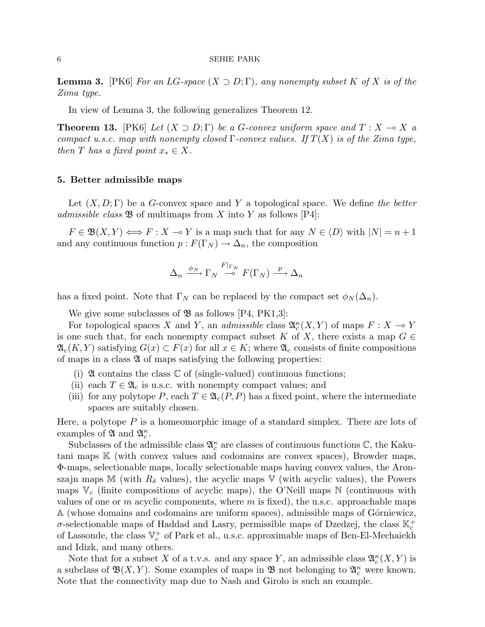**Lemma 3.** [PK6] For an LG-space  $(X \supset D; \Gamma)$ , any nonempty subset K of X is of the Zima type.

In view of Lemma 3, the following generalizes Theorem 12.

**Theorem 13.** [PK6] Let  $(X \supset D; \Gamma)$  be a G-convex uniform space and  $T: X \to X$  a compact u.s.c. map with nonempty closed  $\Gamma$ -convex values. If  $T(X)$  is of the Zima type, then T has a fixed point  $x_* \in X$ .

## 5. Better admissible maps

Let  $(X, D; \Gamma)$  be a G-convex space and Y a topological space. We define the better admissible class  $\mathfrak{B}$  of multimaps from X into Y as follows [P4]:

 $F \in \mathfrak{B}(X, Y) \Longleftrightarrow F : X \multimap Y$  is a map such that for any  $N \in \langle D \rangle$  with  $|N| = n + 1$ and any continuous function  $p : F(\Gamma_N) \to \Delta_n$ , the composition

$$
\Delta_n \xrightarrow{\phi_N} \Gamma_N \xrightarrow{F|_{\Gamma_N}} F(\Gamma_N) \xrightarrow{p} \Delta_n
$$

has a fixed point. Note that  $\Gamma_N$  can be replaced by the compact set  $\phi_N(\Delta_n)$ .

We give some subclasses of  $\mathfrak{B}$  as follows [P4, PK1,3]:

For topological spaces X and Y, an *admissible* class  $\mathfrak{A}_{c}^{\kappa}(X, Y)$  of maps  $F: X \to Y$ is one such that, for each nonempty compact subset K of X, there exists a map  $G \in$  $\mathfrak{A}_c(K,Y)$  satisfying  $G(x) \subset F(x)$  for all  $x \in K$ ; where  $\mathfrak{A}_c$  consists of finite compositions of maps in a class  $\mathfrak A$  of maps satisfying the following properties:

- (i)  $\mathfrak A$  contains the class  $\mathbb C$  of (single-valued) continuous functions;
- (ii) each  $T \in \mathfrak{A}_c$  is u.s.c. with nonempty compact values; and
- (iii) for any polytope P, each  $T \in \mathfrak{A}_c(P, P)$  has a fixed point, where the intermediate spaces are suitably chosen.

Here, a polytope  $P$  is a homeomorphic image of a standard simplex. There are lots of examples of  $\mathfrak{A}$  and  $\mathfrak{A}_{c}^{\kappa}$ .

Subclasses of the admissible class  $\mathfrak{A}_c^{\kappa}$  are classes of continuous functions  $\mathbb{C}$ , the Kakutani maps K (with convex values and codomains are convex spaces), Browder maps, Φ-maps, selectionable maps, locally selectionable maps having convex values, the Aronszajn maps M (with  $R_{\delta}$  values), the acyclic maps V (with acyclic values), the Powers maps  $\mathbb{V}_c$  (finite compositions of acyclic maps), the O'Neill maps  $\mathbb{N}$  (continuous with values of one or  $m$  acyclic components, where  $m$  is fixed), the u.s.c. approachable maps A (whose domains and codomains are uniform spaces), admissible maps of Górniewicz,  $\sigma$ -selectionable maps of Haddad and Lasry, permissible maps of Dzedzej, the class  $\mathbb{K}^+_c$ of Lassonde, the class  $\mathbb{V}_c^+$  of Park et al., u.s.c. approximable maps of Ben-El-Mechaiekh and Idizk, and many others.

Note that for a subset X of a t.v.s. and any space Y, an admissible class  $\mathfrak{A}_{c}^{\kappa}(X, Y)$  is a subclass of  $\mathfrak{B}(X,Y)$ . Some examples of maps in  $\mathfrak{B}$  not belonging to  $\mathfrak{A}_{c}^{\kappa}$  were known. Note that the connectivity map due to Nash and Girolo is such an example.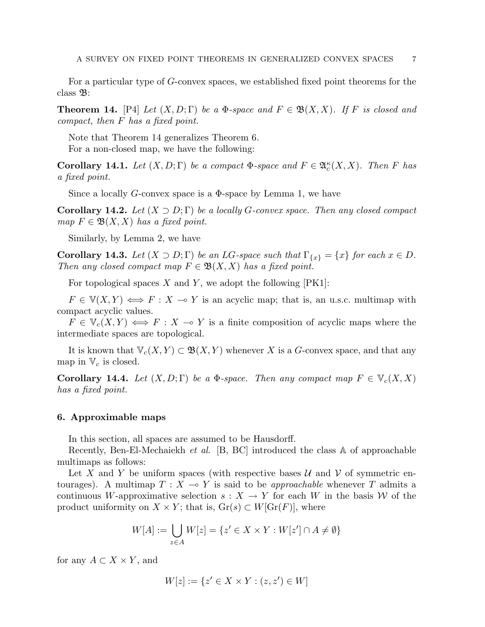For a particular type of G-convex spaces, we established fixed point theorems for the class B:

**Theorem 14.** [P4] Let  $(X, D; \Gamma)$  be a  $\Phi$ -space and  $F \in \mathfrak{B}(X, X)$ . If F is closed and compact, then F has a fixed point.

Note that Theorem 14 generalizes Theorem 6. For a non-closed map, we have the following:

**Corollary 14.1.** Let  $(X, D; \Gamma)$  be a compact  $\Phi$ -space and  $F \in \mathfrak{A}_{c}^{\kappa}(X, X)$ . Then F has a fixed point.

Since a locally G-convex space is a  $\Phi$ -space by Lemma 1, we have

**Corollary 14.2.** Let  $(X \supset D; \Gamma)$  be a locally G-convex space. Then any closed compact map  $F \in \mathfrak{B}(X,X)$  has a fixed point.

Similarly, by Lemma 2, we have

**Corollary 14.3.** Let  $(X \supset D; \Gamma)$  be an LG-space such that  $\Gamma_{\{x\}} = \{x\}$  for each  $x \in D$ . Then any closed compact map  $F \in \mathfrak{B}(X,X)$  has a fixed point.

For topological spaces  $X$  and  $Y$ , we adopt the following  $[PK1]$ :

 $F \in V(X, Y) \iff F : X \to Y$  is an acyclic map; that is, an u.s.c. multimap with compact acyclic values.

 $F \in V_c(X, Y) \iff F : X \to Y$  is a finite composition of acyclic maps where the intermediate spaces are topological.

It is known that  $\mathbb{V}_c(X, Y) \subset \mathfrak{B}(X, Y)$  whenever X is a G-convex space, and that any map in  $\mathbb{V}_c$  is closed.

**Corollary 14.4.** Let  $(X, D; \Gamma)$  be a  $\Phi$ -space. Then any compact map  $F \in \mathbb{V}_c(X, X)$ has a fixed point.

## 6. Approximable maps

In this section, all spaces are assumed to be Hausdorff.

Recently, Ben-El-Mechaiekh et al. [B, BC] introduced the class A of approachable multimaps as follows:

Let X and Y be uniform spaces (with respective bases  $\mathcal U$  and  $\mathcal V$  of symmetric entourages). A multimap  $T : X \multimap Y$  is said to be *approachable* whenever T admits a continuous W-approximative selection  $s: X \to Y$  for each W in the basis W of the product uniformity on  $X \times Y$ ; that is,  $\text{Gr}(s) \subset W[\text{Gr}(F)]$ , where

$$
W[A] := \bigcup_{z \in A} W[z] = \{ z' \in X \times Y : W[z'] \cap A \neq \emptyset \}
$$

for any  $A \subset X \times Y$ , and

$$
W[z] := \{ z' \in X \times Y : (z, z') \in W \}
$$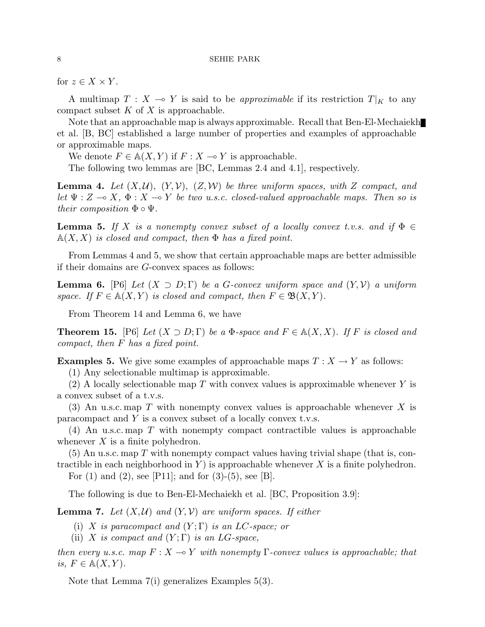for  $z \in X \times Y$ .

A multimap  $T : X \to Y$  is said to be *approximable* if its restriction  $T|_K$  to any compact subset  $K$  of  $X$  is approachable.

Note that an approachable map is always approximable. Recall that Ben-El-Mechaiekh et al. [B, BC] established a large number of properties and examples of approachable or approximable maps.

We denote  $F \in A(X, Y)$  if  $F : X \to Y$  is approachable.

The following two lemmas are [BC, Lemmas 2.4 and 4.1], respectively.

**Lemma 4.** Let  $(X, \mathcal{U})$ ,  $(Y, \mathcal{V})$ ,  $(Z, \mathcal{W})$  be three uniform spaces, with Z compact, and let  $\Psi : Z \to X$ ,  $\Phi : X \to Y$  be two u.s.c. closed-valued approachable maps. Then so is their composition  $\Phi \circ \Psi$ .

**Lemma 5.** If X is a nonempty convex subset of a locally convex t.v.s. and if  $\Phi \in$  $\mathbb{A}(X, X)$  is closed and compact, then  $\Phi$  has a fixed point.

From Lemmas 4 and 5, we show that certain approachable maps are better admissible if their domains are G-convex spaces as follows:

**Lemma 6.** [P6] Let  $(X \supset D; \Gamma)$  be a G-convex uniform space and  $(Y, V)$  a uniform space. If  $F \in A(X, Y)$  is closed and compact, then  $F \in \mathfrak{B}(X, Y)$ .

From Theorem 14 and Lemma 6, we have

**Theorem 15.** [P6] Let  $(X \supset D; \Gamma)$  be a  $\Phi$ -space and  $F \in \mathbb{A}(X, X)$ . If F is closed and compact, then F has a fixed point.

**Examples 5.** We give some examples of approachable maps  $T : X \to Y$  as follows:

(1) Any selectionable multimap is approximable.

(2) A locally selectionable map T with convex values is approximable whenever Y is a convex subset of a t.v.s.

(3) An u.s.c. map T with nonempty convex values is approachable whenever X is paracompact and  $Y$  is a convex subset of a locally convex t.v.s.

(4) An u.s.c. map T with nonempty compact contractible values is approachable whenever  $X$  is a finite polyhedron.

 $(5)$  An u.s.c. map T with nonempty compact values having trivial shape (that is, contractible in each neighborhood in Y is approachable whenever X is a finite polyhedron.

For  $(1)$  and  $(2)$ , see [P11]; and for  $(3)-(5)$ , see [B].

The following is due to Ben-El-Mechaiekh et al. [BC, Proposition 3.9]:

**Lemma 7.** Let  $(X, \mathcal{U})$  and  $(Y, \mathcal{V})$  are uniform spaces. If either

(i) X is paracompact and  $(Y; \Gamma)$  is an LC-space; or

(ii) X is compact and  $(Y;\Gamma)$  is an LG-space,

then every u.s.c. map  $F: X \to Y$  with nonempty Γ-convex values is approachable; that is,  $F \in A(X, Y)$ .

Note that Lemma 7(i) generalizes Examples 5(3).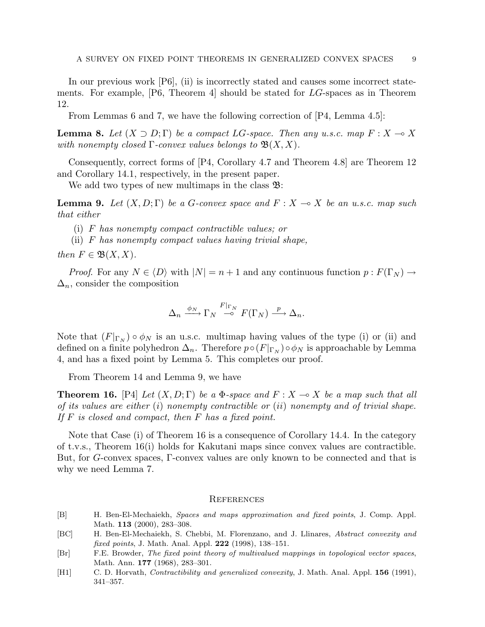In our previous work [P6], (ii) is incorrectly stated and causes some incorrect statements. For example, [P6, Theorem 4] should be stated for LG-spaces as in Theorem 12.

From Lemmas 6 and 7, we have the following correction of [P4, Lemma 4.5]:

**Lemma 8.** Let  $(X \supset D; \Gamma)$  be a compact LG-space. Then any u.s.c. map  $F: X \to X$ with nonempty closed  $\Gamma$ -convex values belongs to  $\mathfrak{B}(X,X)$ .

Consequently, correct forms of [P4, Corollary 4.7 and Theorem 4.8] are Theorem 12 and Corollary 14.1, respectively, in the present paper.

We add two types of new multimaps in the class  $\mathfrak{B}$ :

**Lemma 9.** Let  $(X, D; \Gamma)$  be a G-convex space and  $F: X \to X$  be an u.s.c. map such that either

(i) F has nonempty compact contractible values; or

(ii) F has nonempty compact values having trivial shape,

then  $F \in \mathfrak{B}(X,X)$ .

*Proof.* For any  $N \in \langle D \rangle$  with  $|N| = n + 1$  and any continuous function  $p : F(\Gamma_N) \to$  $\Delta_n$ , consider the composition

$$
\Delta_n \xrightarrow{\phi_N} \Gamma_N \xrightarrow{F|_{\Gamma_N}} F(\Gamma_N) \xrightarrow{p} \Delta_n.
$$

Note that  $(F|_{\Gamma_N}) \circ \phi_N$  is an u.s.c. multimap having values of the type (i) or (ii) and defined on a finite polyhedron  $\Delta_n$ . Therefore  $p \circ (F|_{\Gamma_N}) \circ \phi_N$  is approachable by Lemma 4, and has a fixed point by Lemma 5. This completes our proof.

From Theorem 14 and Lemma 9, we have

**Theorem 16.** [P4] Let  $(X, D; \Gamma)$  be a  $\Phi$ -space and  $F: X \to X$  be a map such that all of its values are either  $(i)$  nonempty contractible or  $(ii)$  nonempty and of trivial shape. If  $F$  is closed and compact, then  $F$  has a fixed point.

Note that Case (i) of Theorem 16 is a consequence of Corollary 14.4. In the category of t.v.s., Theorem 16(i) holds for Kakutani maps since convex values are contractible. But, for G-convex spaces, Γ-convex values are only known to be connected and that is why we need Lemma 7.

#### **REFERENCES**

- [B] H. Ben-El-Mechaiekh, Spaces and maps approximation and fixed points, J. Comp. Appl. Math. 113 (2000), 283-308.
- [BC] H. Ben-El-Mechaiekh, S. Chebbi, M. Florenzano, and J. Llinares, Abstract convexity and fixed points, J. Math. Anal. Appl.  $222$  (1998), 138-151.
- [Br] F.E. Browder, The fixed point theory of multivalued mappings in topological vector spaces, Math. Ann. 177 (1968), 283–301.
- [H1] C. D. Horvath, *Contractibility and generalized convexity*, J. Math. Anal. Appl. **156** (1991), 341–357.